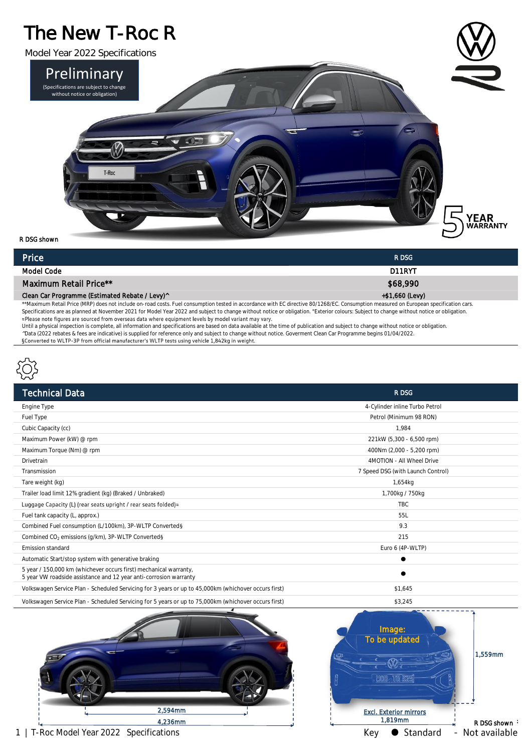## The New T-Roc R



R DSG shown

| Price                                                                                                                                                                                 | R DSG           |
|---------------------------------------------------------------------------------------------------------------------------------------------------------------------------------------|-----------------|
| Model Code                                                                                                                                                                            | D11RYT          |
| Maximum Retail Price**                                                                                                                                                                | \$68,990        |
| Clean Car Programme (Estimated Rebate / Levy)^                                                                                                                                        | +\$1,660 (Levy) |
| **Maximum Retail Price (MRP) does not include on-road costs. Fuel consumption tested in accordance with EC directive 80/1268/EC. Consumption measured on European specification cars. |                 |

Specifications are as planned at November 2021 for Model Year 2022 and subject to change without notice or obligation. <sup>e</sup>Exterior colours: Subject to change without notice or obligation.

Until a physical inspection is complete, all information and specifications are based on data available at the time of publication and subject to change without notice or obligation. ^Data (2022 rebates & fees are indicative) is supplied for reference only and subject to change without notice. Goverment Clean Car Programme begins 01/04/2022.<br>SConverted to WLTP-3P from official manufacturer's WLTP tests



| <b>Technical Data</b>                                                                                | R DSG                             |
|------------------------------------------------------------------------------------------------------|-----------------------------------|
| Engine Type                                                                                          | 4-Cylinder inline Turbo Petrol    |
| Fuel Type                                                                                            | Petrol (Minimum 98 RON)           |
| Cubic Capacity (cc)                                                                                  | 1.984                             |
| Maximum Power (kW) @ rpm                                                                             | 221kW (5,300 - 6,500 rpm)         |
| Maximum Torque (Nm) @ rpm                                                                            | 400Nm (2,000 - 5,200 rpm)         |
| Drivetrain                                                                                           | 4MOTION - All Wheel Drive         |
| Transmission                                                                                         | 7 Speed DSG (with Launch Control) |
| Tare weight (kg)                                                                                     | 1,654kg                           |
| Trailer load limit 12% gradient (kg) (Braked / Unbraked)                                             | 1,700kg / 750kg                   |
| Luggage Capacity (L) (rear seats upright / rear seats folded) $\approx$                              | <b>TBC</b>                        |
| Fuel tank capacity (L, approx.)                                                                      | 55L                               |
| Combined Fuel consumption (L/100km), 3P-WLTP Converted§                                              | 9.3                               |
| Combined CO <sub>2</sub> emissions (g/km), 3P-WLTP Converted§                                        | 215                               |
| Emission standard                                                                                    | Euro 6 (4P-WLTP)                  |
| Automatic Start/stop system with generative braking                                                  |                                   |
| 5 year / 150,000 km (whichever occurs first) mechanical warranty,                                    |                                   |
| 5 year VW roadside assistance and 12 year anti-corrosion warranty                                    |                                   |
| Volkswagen Service Plan - Scheduled Servicing for 3 years or up to 45,000km (whichover occurs first) | \$1,645                           |
|                                                                                                      |                                   |

Volkswagen Service Plan - Scheduled Servicing for 5 years or up to 75,000km (whichover occurs first) \$3,245





1 | T-Roc Model Year 2022 Specifications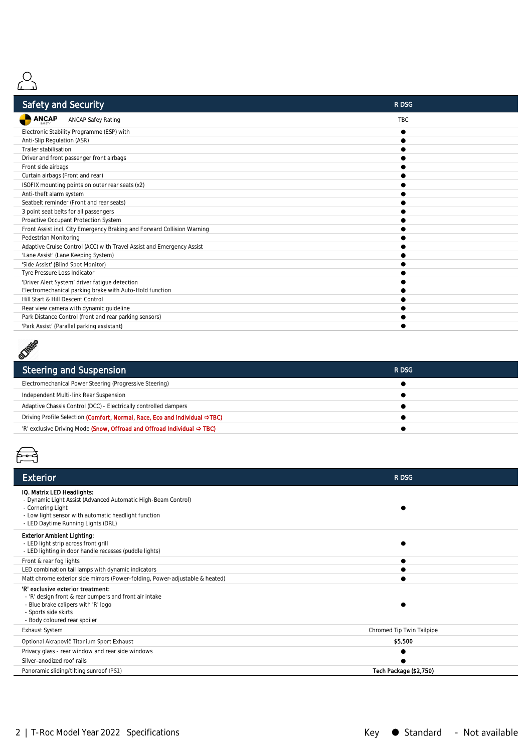

| <b>Safety and Security</b>                                              | R DSG      |
|-------------------------------------------------------------------------|------------|
| <b>ANCAP</b><br><b>ANCAP Safey Rating</b>                               | <b>TBC</b> |
| Electronic Stability Programme (ESP) with                               |            |
| Anti-Slip Regulation (ASR)                                              |            |
| Trailer stabilisation                                                   |            |
| Driver and front passenger front airbags                                |            |
| Front side airbags                                                      |            |
| Curtain airbags (Front and rear)                                        |            |
| ISOFIX mounting points on outer rear seats (x2)                         |            |
| Anti-theft alarm system                                                 |            |
| Seatbelt reminder (Front and rear seats)                                |            |
| 3 point seat belts for all passengers                                   |            |
| Proactive Occupant Protection System                                    |            |
| Front Assist incl. City Emergency Braking and Forward Collision Warning |            |
| Pedestrian Monitoring                                                   |            |
| Adaptive Cruise Control (ACC) with Travel Assist and Emergency Assist   |            |
| 'Lane Assist' (Lane Keeping System)                                     |            |
| 'Side Assist' (Blind Spot Monitor)                                      |            |
| Tyre Pressure Loss Indicator                                            |            |
| 'Driver Alert System' driver fatique detection                          |            |
| Electromechanical parking brake with Auto-Hold function                 |            |
| Hill Start & Hill Descent Control                                       |            |
| Rear view camera with dynamic guideline                                 |            |
| Park Distance Control (front and rear parking sensors)                  |            |
| 'Park Assist' (Parallel narking assistant)                              |            |



| Steering and Suspension                                                             | R DSG |  |
|-------------------------------------------------------------------------------------|-------|--|
| Electromechanical Power Steering (Progressive Steering)                             |       |  |
| Independent Multi-link Rear Suspension                                              |       |  |
| Adaptive Chassis Control (DCC) - Electrically controlled dampers                    |       |  |
| Driving Profile Selection (Comfort, Normal, Race, Eco and Individual →TBC)          |       |  |
| 'R' exclusive Driving Mode (Snow, Offroad and Offroad Individual $\Rightarrow$ TBC) |       |  |
|                                                                                     |       |  |



| Exterior                                                                                                                                                                                                       | R DSG                     |
|----------------------------------------------------------------------------------------------------------------------------------------------------------------------------------------------------------------|---------------------------|
| IQ. Matrix LED Headlights:<br>- Dynamic Light Assist (Advanced Automatic High-Beam Control)<br>- Cornering Light<br>- Low light sensor with automatic headlight function<br>- LED Daytime Running Lights (DRL) |                           |
| Exterior Ambient Lighting:<br>- LED light strip across front grill<br>- LED lighting in door handle recesses (puddle lights)                                                                                   |                           |
| Front & rear fog lights                                                                                                                                                                                        |                           |
| LED combination tail lamps with dynamic indicators                                                                                                                                                             |                           |
| Matt chrome exterior side mirrors (Power-folding, Power-adjustable & heated)                                                                                                                                   |                           |
| 'R' exclusive exterior treatment:<br>- 'R' design front & rear bumpers and front air intake<br>- Blue brake calipers with 'R' logo<br>- Sports side skirts<br>- Body coloured rear spoiler                     |                           |
| <b>Exhaust System</b>                                                                                                                                                                                          | Chromed Tip Twin Tailpipe |
| Optional Akrapovič Titanium Sport Exhaust                                                                                                                                                                      | \$5,500                   |
| Privacy glass - rear window and rear side windows                                                                                                                                                              |                           |
| Silver-anodized roof rails                                                                                                                                                                                     |                           |
| Panoramic sliding/tilting sunroof (PS1)                                                                                                                                                                        | Tech Package (\$2,750)    |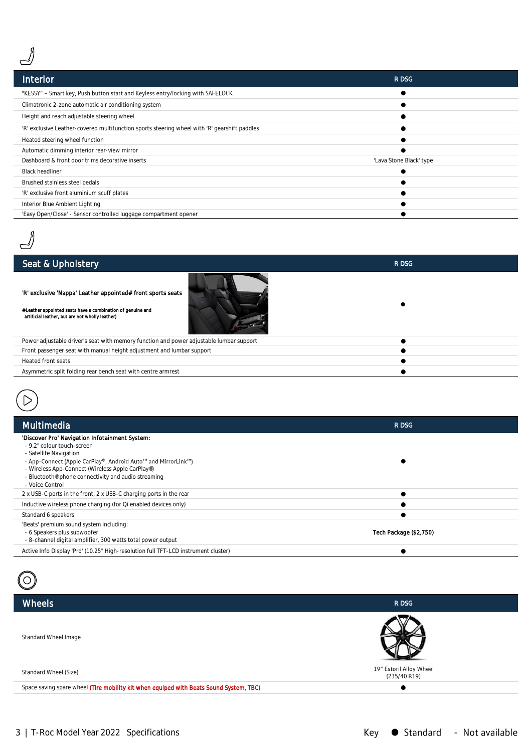

| Interior                                                                                     | R DSG                   |
|----------------------------------------------------------------------------------------------|-------------------------|
| "KESSY" - Smart key, Push button start and Keyless entry/locking with SAFELOCK               |                         |
| Climatronic 2-zone automatic air conditioning system                                         |                         |
| Height and reach adjustable steering wheel                                                   |                         |
| 'R' exclusive Leather-covered multifunction sports steering wheel with 'R' gearshift paddles |                         |
| Heated steering wheel function                                                               |                         |
| Automatic dimming interior rear-view mirror                                                  |                         |
| Dashboard & front door trims decorative inserts                                              | 'Lava Stone Black' type |
| <b>Black headliner</b>                                                                       |                         |
| Brushed stainless steel pedals                                                               |                         |
| 'R' exclusive front aluminium scuff plates                                                   |                         |
| Interior Blue Ambient Lighting                                                               |                         |
| 'Easy Open/Close' - Sensor controlled luggage compartment opener                             |                         |



| 'R' exclusive 'Nappa' Leather appointed# front sports seats                                                   |  |
|---------------------------------------------------------------------------------------------------------------|--|
| #Leather appointed seats have a combination of genuine and<br>artificial leather, but are not wholly leather) |  |
| Power adjustable driver's seat with memory function and power adjustable lumbar support                       |  |
| Front passenger seat with manual height adjustment and lumbar support                                         |  |
| Heated front seats                                                                                            |  |
| Asymmetric split folding rear bench seat with centre armrest                                                  |  |
|                                                                                                               |  |
|                                                                                                               |  |



| Multimedia                                                                                                                                                                                                                                                                                            | R DSG                  |
|-------------------------------------------------------------------------------------------------------------------------------------------------------------------------------------------------------------------------------------------------------------------------------------------------------|------------------------|
| 'Discover Pro' Navigation Infotainment System:<br>- 9.2" colour touch-screen<br>- Satellite Navigation<br>- App-Connect (Apple CarPlay®, Android Auto™ and MirrorLink™)<br>- Wireless App-Connect (Wireless Apple CarPlay®)<br>- Bluetooth® phone connectivity and audio streaming<br>- Voice Control |                        |
| 2 x USB-C ports in the front, 2 x USB-C charging ports in the rear                                                                                                                                                                                                                                    |                        |
| Inductive wireless phone charging (for Qi enabled devices only)                                                                                                                                                                                                                                       |                        |
| Standard 6 speakers                                                                                                                                                                                                                                                                                   |                        |
| 'Beats' premium sound system including:<br>- 6 Speakers plus subwoofer<br>- 8-channel digital amplifier, 300 watts total power output                                                                                                                                                                 | Tech Package (\$2,750) |
| Active Info Display 'Pro' (10.25" High-resolution full TFT-LCD instrument cluster)                                                                                                                                                                                                                    |                        |